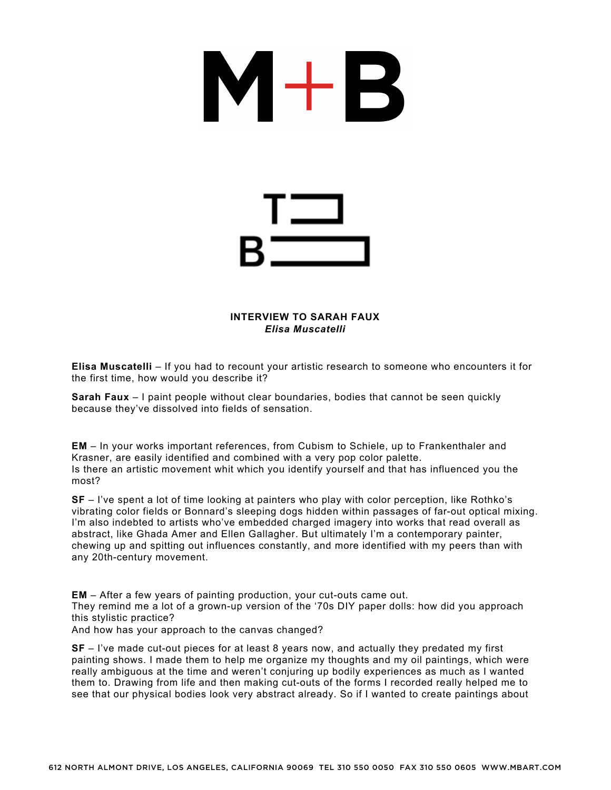

## **INTERVIEW TO SARAH FAUX** *Elisa Muscatelli*

**Elisa Muscatelli** – If you had to recount your artistic research to someone who encounters it for the first time, how would you describe it?

**Sarah Faux** – I paint people without clear boundaries, bodies that cannot be seen quickly because they've dissolved into fields of sensation.

**EM** – In your works important references, from Cubism to Schiele, up to Frankenthaler and Krasner, are easily identified and combined with a very pop color palette. Is there an artistic movement whit which you identify yourself and that has influenced you the most?

**SF** – I've spent a lot of time looking at painters who play with color perception, like Rothko's vibrating color fields or Bonnard's sleeping dogs hidden within passages of far-out optical mixing. I'm also indebted to artists who've embedded charged imagery into works that read overall as abstract, like Ghada Amer and Ellen Gallagher. But ultimately I'm a contemporary painter, chewing up and spitting out influences constantly, and more identified with my peers than with any 20th-century movement.

**EM** – After a few years of painting production, your cut-outs came out. They remind me a lot of a grown-up version of the '70s DIY paper dolls: how did you approach this stylistic practice? And how has your approach to the canvas changed?

**SF** – I've made cut-out pieces for at least 8 years now, and actually they predated my first painting shows. I made them to help me organize my thoughts and my oil paintings, which were really ambiguous at the time and weren't conjuring up bodily experiences as much as I wanted them to. Drawing from life and then making cut-outs of the forms I recorded really helped me to see that our physical bodies look very abstract already. So if I wanted to create paintings about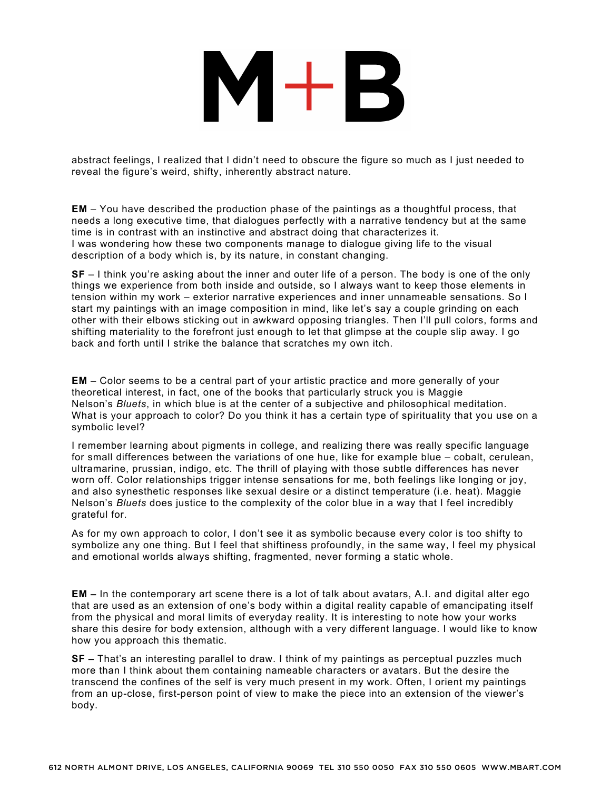## $M+B$

abstract feelings, I realized that I didn't need to obscure the figure so much as I just needed to reveal the figure's weird, shifty, inherently abstract nature.

**EM** – You have described the production phase of the paintings as a thoughtful process, that needs a long executive time, that dialogues perfectly with a narrative tendency but at the same time is in contrast with an instinctive and abstract doing that characterizes it. I was wondering how these two components manage to dialogue giving life to the visual description of a body which is, by its nature, in constant changing.

**SF** – I think you're asking about the inner and outer life of a person. The body is one of the only things we experience from both inside and outside, so I always want to keep those elements in tension within my work – exterior narrative experiences and inner unnameable sensations. So I start my paintings with an image composition in mind, like let's say a couple grinding on each other with their elbows sticking out in awkward opposing triangles. Then I'll pull colors, forms and shifting materiality to the forefront just enough to let that glimpse at the couple slip away. I go back and forth until I strike the balance that scratches my own itch.

**EM** – Color seems to be a central part of your artistic practice and more generally of your theoretical interest, in fact, one of the books that particularly struck you is Maggie Nelson's *Bluets*, in which blue is at the center of a subjective and philosophical meditation. What is your approach to color? Do you think it has a certain type of spirituality that you use on a symbolic level?

I remember learning about pigments in college, and realizing there was really specific language for small differences between the variations of one hue, like for example blue – cobalt, cerulean, ultramarine, prussian, indigo, etc. The thrill of playing with those subtle differences has never worn off. Color relationships trigger intense sensations for me, both feelings like longing or joy, and also synesthetic responses like sexual desire or a distinct temperature (i.e. heat). Maggie Nelson's *Bluets* does justice to the complexity of the color blue in a way that I feel incredibly grateful for.

As for my own approach to color, I don't see it as symbolic because every color is too shifty to symbolize any one thing. But I feel that shiftiness profoundly, in the same way, I feel my physical and emotional worlds always shifting, fragmented, never forming a static whole.

**EM –** In the contemporary art scene there is a lot of talk about avatars, A.I. and digital alter ego that are used as an extension of one's body within a digital reality capable of emancipating itself from the physical and moral limits of everyday reality. It is interesting to note how your works share this desire for body extension, although with a very different language. I would like to know how you approach this thematic.

**SF –** That's an interesting parallel to draw. I think of my paintings as perceptual puzzles much more than I think about them containing nameable characters or avatars. But the desire the transcend the confines of the self is very much present in my work. Often, I orient my paintings from an up-close, first-person point of view to make the piece into an extension of the viewer's body.